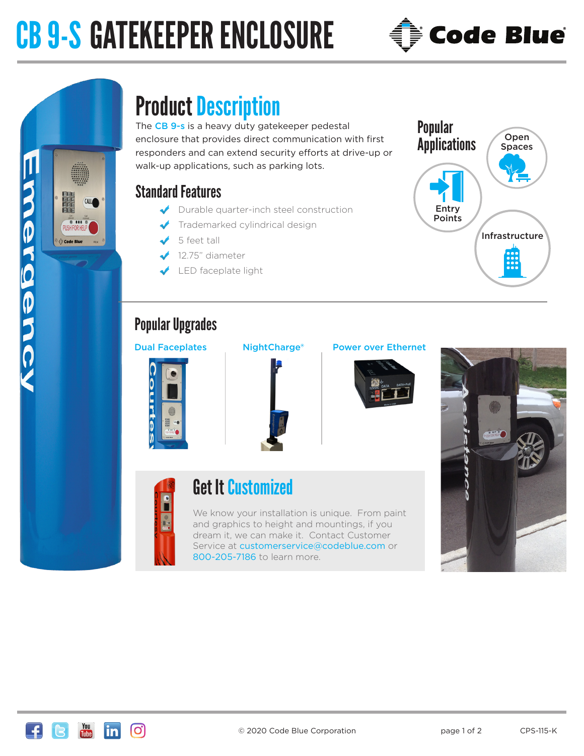# CB 9-S GATEKEEPER ENCLOSURE



# DUBDJB *<u>Ê¥ Code Blu</u>*

# Product Description

The CB 9-s is a heavy duty gatekeeper pedestal enclosure that provides direct communication with first responders and can extend security efforts at drive-up or walk-up applications, such as parking lots.

# Standard Features

- Durable quarter-inch steel construction
- Trademarked cylindrical design
- 5 feet tall
- 12.75" diameter
- LED faceplate light

- -
- Popular **Applications** Infrastructure Entry Points Open **Spaces**

# Popular Upgrades





## Dual Faceplates NightCharge® Power over Ethernet







# Get It Customized

We know your installation is unique. From paint and graphics to height and mountings, if you dream it, we can make it. Contact Customer Service at customerservice@codeblue.com or 800-205-7186 to learn more.